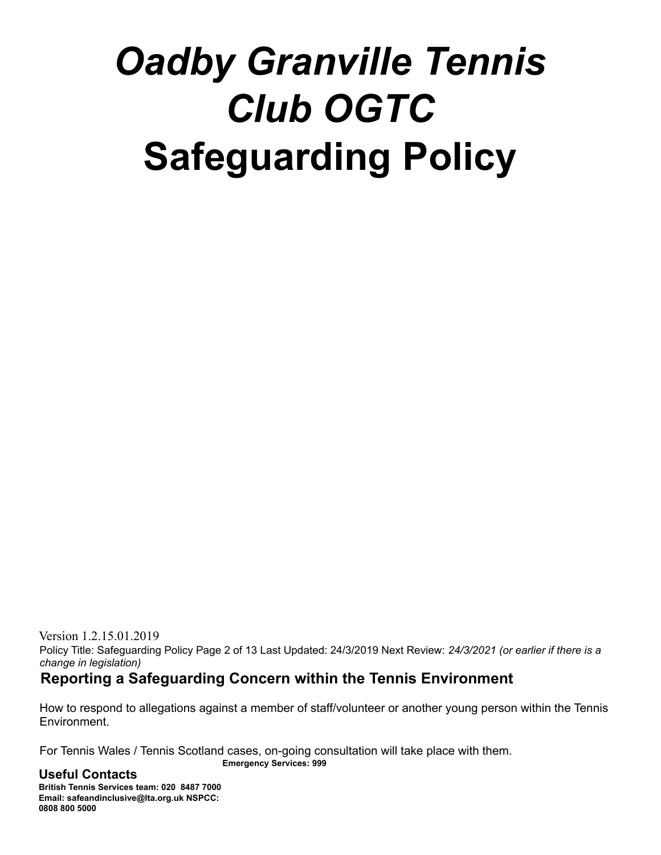# *Oadby Granville Tennis Club OGTC* **Safeguarding Policy**

Version 1.2.15.01.2019 Policy Title: Safeguarding Policy Page 2 of 13 Last Updated: 24/3/2019 Next Review: *24/3/2021 (or earlier if there is a change in legislation)*

# **Reporting a Safeguarding Concern within the Tennis Environment**

How to respond to allegations against a member of staff/volunteer or another young person within the Tennis Environment.

For Tennis Wales / Tennis Scotland cases, on-going consultation will take place with them. **Emergency Services: 999**

### **Useful Contacts**

**British Tennis Services team: 020 8487 7000 Email: safeandinclusive@lta.org.uk NSPCC: 0808 800 5000**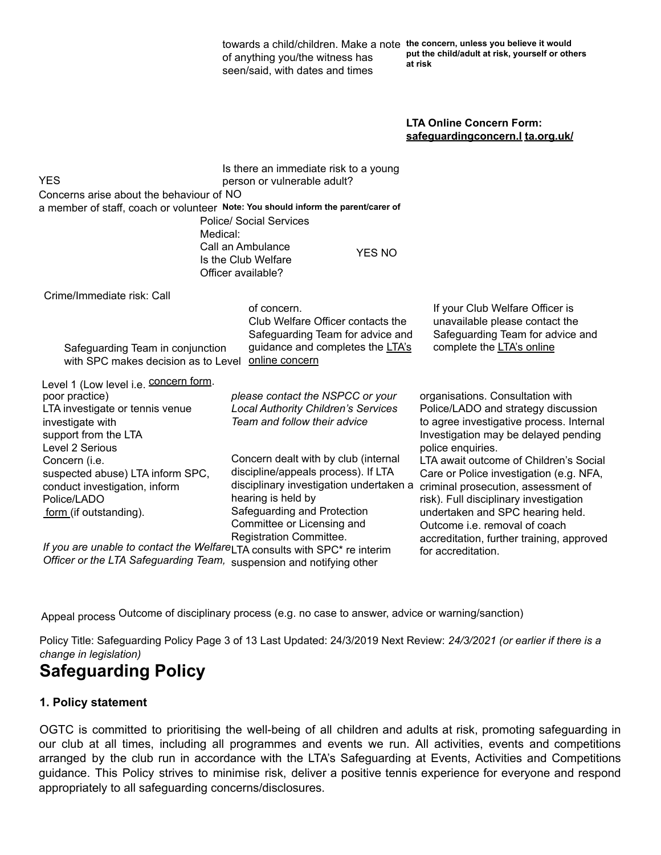| towards a child/children. Make a note the concern, unless you believe it would |                                                            |  |
|--------------------------------------------------------------------------------|------------------------------------------------------------|--|
| of anything you/the witness has                                                | put the child/adult at risk, yourself or others<br>at risk |  |
| seen/said, with dates and times                                                |                                                            |  |

#### **LTA Online Concern Form: safeguardingconcern.l ta.org.uk/**

|                                                                                                   | Is there an immediate risk to a young      |                                           |  |  |  |
|---------------------------------------------------------------------------------------------------|--------------------------------------------|-------------------------------------------|--|--|--|
| YES                                                                                               | person or vulnerable adult?                |                                           |  |  |  |
| Concerns arise about the behaviour of NO                                                          |                                            |                                           |  |  |  |
| a member of staff, coach or volunteer Note: You should inform the parent/carer of                 |                                            |                                           |  |  |  |
|                                                                                                   | <b>Police/ Social Services</b>             |                                           |  |  |  |
| Medical:                                                                                          |                                            |                                           |  |  |  |
|                                                                                                   | Call an Ambulance<br><b>YES NO</b>         |                                           |  |  |  |
|                                                                                                   | Is the Club Welfare                        |                                           |  |  |  |
|                                                                                                   | Officer available?                         |                                           |  |  |  |
| Crime/Immediate risk: Call                                                                        |                                            |                                           |  |  |  |
|                                                                                                   | of concern.                                | If your Club Welfare Officer is           |  |  |  |
|                                                                                                   | Club Welfare Officer contacts the          | unavailable please contact the            |  |  |  |
|                                                                                                   | Safeguarding Team for advice and           | Safeguarding Team for advice and          |  |  |  |
| Safeguarding Team in conjunction                                                                  | guidance and completes the LTA's           | complete the LTA's online                 |  |  |  |
| with SPC makes decision as to Level                                                               | online concern                             |                                           |  |  |  |
| Level 1 (Low level i.e. <b>CONCET form.</b>                                                       |                                            |                                           |  |  |  |
| poor practice)                                                                                    | please contact the NSPCC or your           | organisations. Consultation with          |  |  |  |
| LTA investigate or tennis venue                                                                   | <b>Local Authority Children's Services</b> | Police/LADO and strategy discussion       |  |  |  |
| investigate with                                                                                  | Team and follow their advice               | to agree investigative process. Internal  |  |  |  |
| support from the LTA                                                                              |                                            | Investigation may be delayed pending      |  |  |  |
| Level 2 Serious                                                                                   |                                            | police enquiries.                         |  |  |  |
| Concern (i.e.                                                                                     | Concern dealt with by club (internal       | LTA await outcome of Children's Social    |  |  |  |
| suspected abuse) LTA inform SPC,                                                                  | discipline/appeals process). If LTA        | Care or Police investigation (e.g. NFA,   |  |  |  |
| conduct investigation, inform                                                                     | disciplinary investigation undertaken a    | criminal prosecution, assessment of       |  |  |  |
| Police/LADO                                                                                       | hearing is held by                         | risk). Full disciplinary investigation    |  |  |  |
| form (if outstanding).                                                                            | Safeguarding and Protection                | undertaken and SPC hearing held.          |  |  |  |
|                                                                                                   | Committee or Licensing and                 | Outcome <i>i.e.</i> removal of coach      |  |  |  |
|                                                                                                   | Registration Committee.                    | accreditation, further training, approved |  |  |  |
| If you are unable to contact the Welfare <sub>LTA</sub> consults with SPC <sup>*</sup> re interim |                                            | for accreditation.                        |  |  |  |
| Officer or the LTA Safeguarding Team,                                                             | suspension and notifying other             |                                           |  |  |  |

Appeal process Outcome of disciplinary process (e.g. no case to answer, advice or warning/sanction)

Policy Title: Safeguarding Policy Page 3 of 13 Last Updated: 24/3/2019 Next Review: *24/3/2021 (or earlier if there is a change in legislation)*

# **Safeguarding Policy**

#### **1. Policy statement**

OGTC is committed to prioritising the well-being of all children and adults at risk, promoting safeguarding in our club at all times, including all programmes and events we run. All activities, events and competitions arranged by the club run in accordance with the LTA's Safeguarding at Events, Activities and Competitions guidance. This Policy strives to minimise risk, deliver a positive tennis experience for everyone and respond appropriately to all safeguarding concerns/disclosures.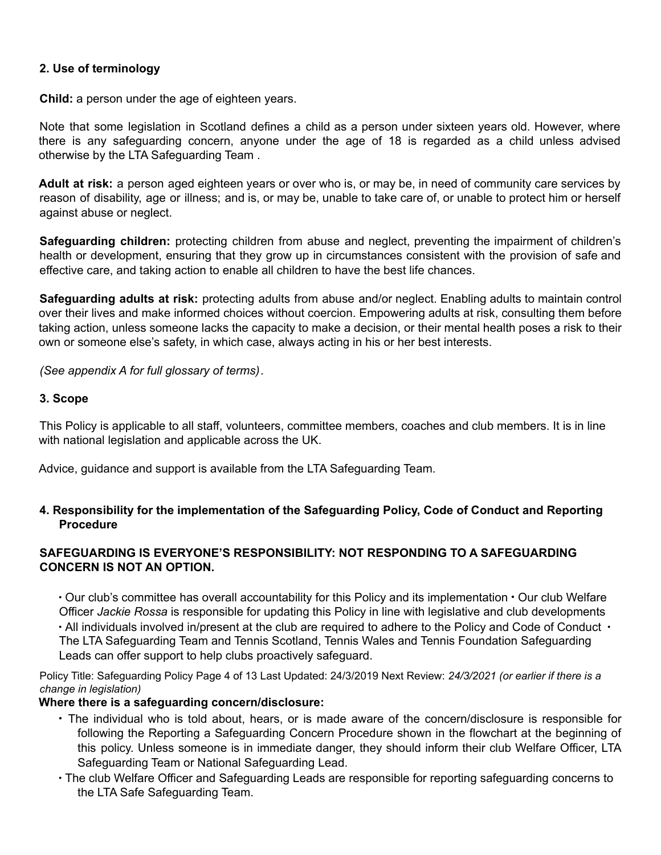#### **2. Use of terminology**

**Child:** a person under the age of eighteen years.

Note that some legislation in Scotland defines a child as a person under sixteen years old. However, where there is any safeguarding concern, anyone under the age of 18 is regarded as a child unless advised otherwise by the LTA Safeguarding Team .

**Adult at risk:** a person aged eighteen years or over who is, or may be, in need of community care services by reason of disability, age or illness; and is, or may be, unable to take care of, or unable to protect him or herself against abuse or neglect.

**Safeguarding children:** protecting children from abuse and neglect, preventing the impairment of children's health or development, ensuring that they grow up in circumstances consistent with the provision of safe and effective care, and taking action to enable all children to have the best life chances.

**Safeguarding adults at risk:** protecting adults from abuse and/or neglect. Enabling adults to maintain control over their lives and make informed choices without coercion. Empowering adults at risk, consulting them before taking action, unless someone lacks the capacity to make a decision, or their mental health poses a risk to their own or someone else's safety, in which case, always acting in his or her best interests.

*(See appendix A for full glossary of terms)*.

#### **3. Scope**

This Policy is applicable to all staff, volunteers, committee members, coaches and club members. It is in line with national legislation and applicable across the UK.

Advice, guidance and support is available from the LTA Safeguarding Team.

#### **4. Responsibility for the implementation of the Safeguarding Policy, Code of Conduct and Reporting Procedure**

#### **SAFEGUARDING IS EVERYONE'S RESPONSIBILITY: NOT RESPONDING TO A SAFEGUARDING CONCERN IS NOT AN OPTION.**

∙ Our club's committee has overall accountability for this Policy and its implementation ∙ Our club Welfare Officer *Jackie Rossa* is responsible for updating this Policy in line with legislative and club developments ∙ All individuals involved in/present at the club are required to adhere to the Policy and Code of Conduct ∙ The LTA Safeguarding Team and Tennis Scotland, Tennis Wales and Tennis Foundation Safeguarding Leads can offer support to help clubs proactively safeguard.

Policy Title: Safeguarding Policy Page 4 of 13 Last Updated: 24/3/2019 Next Review: *24/3/2021 (or earlier if there is a change in legislation)*

#### **Where there is a safeguarding concern/disclosure:**

- ∙ The individual who is told about, hears, or is made aware of the concern/disclosure is responsible for following the Reporting a Safeguarding Concern Procedure shown in the flowchart at the beginning of this policy. Unless someone is in immediate danger, they should inform their club Welfare Officer, LTA Safeguarding Team or National Safeguarding Lead.
- ∙ The club Welfare Officer and Safeguarding Leads are responsible for reporting safeguarding concerns to the LTA Safe Safeguarding Team.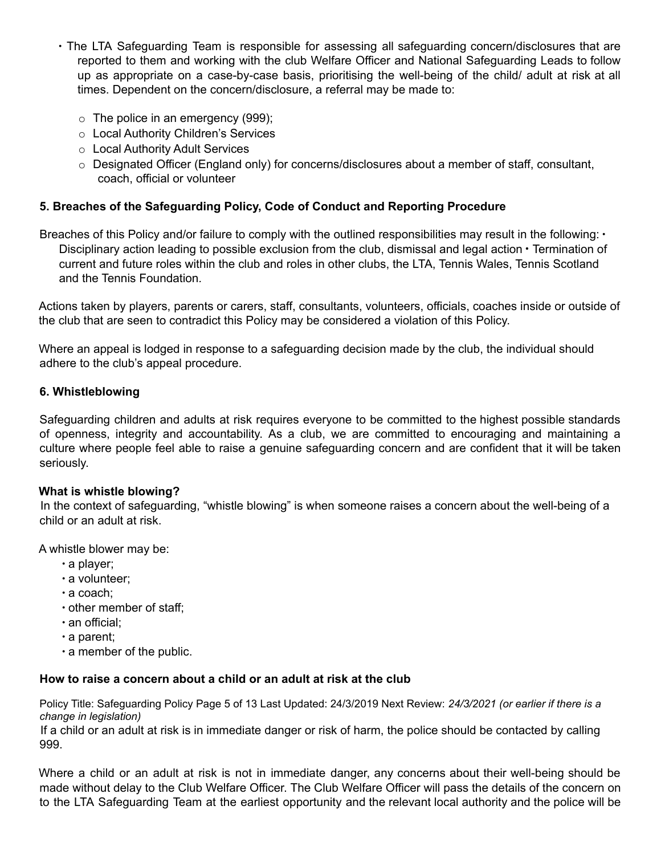- ∙ The LTA Safeguarding Team is responsible for assessing all safeguarding concern/disclosures that are reported to them and working with the club Welfare Officer and National Safeguarding Leads to follow up as appropriate on a case-by-case basis, prioritising the well-being of the child/ adult at risk at all times. Dependent on the concern/disclosure, a referral may be made to:
	- $\circ$  The police in an emergency (999);
	- o Local Authority Children's Services
	- o Local Authority Adult Services
	- $\circ$  Designated Officer (England only) for concerns/disclosures about a member of staff, consultant, coach, official or volunteer

#### **5. Breaches of the Safeguarding Policy, Code of Conduct and Reporting Procedure**

Breaches of this Policy and/or failure to comply with the outlined responsibilities may result in the following: ∙ Disciplinary action leading to possible exclusion from the club, dismissal and legal action ∙ Termination of current and future roles within the club and roles in other clubs, the LTA, Tennis Wales, Tennis Scotland and the Tennis Foundation*.*

Actions taken by players, parents or carers, staff, consultants, volunteers, officials, coaches inside or outside of the club that are seen to contradict this Policy may be considered a violation of this Policy.

Where an appeal is lodged in response to a safeguarding decision made by the club, the individual should adhere to the club's appeal procedure.

#### **6. Whistleblowing**

Safeguarding children and adults at risk requires everyone to be committed to the highest possible standards of openness, integrity and accountability. As a club, we are committed to encouraging and maintaining a culture where people feel able to raise a genuine safeguarding concern and are confident that it will be taken seriously.

#### **What is whistle blowing?**

In the context of safeguarding, "whistle blowing" is when someone raises a concern about the well-being of a child or an adult at risk.

A whistle blower may be:

- ∙ a player;
- ∙ a volunteer;
- ∙ a coach;
- ∙ other member of staff;
- ∙ an official;
- ∙ a parent;
- ∙ a member of the public.

#### **How to raise a concern about a child or an adult at risk at the club**

Policy Title: Safeguarding Policy Page 5 of 13 Last Updated: 24/3/2019 Next Review: *24/3/2021 (or earlier if there is a change in legislation)*

If a child or an adult at risk is in immediate danger or risk of harm, the police should be contacted by calling 999.

Where a child or an adult at risk is not in immediate danger, any concerns about their well-being should be made without delay to the Club Welfare Officer. The Club Welfare Officer will pass the details of the concern on to the LTA Safeguarding Team at the earliest opportunity and the relevant local authority and the police will be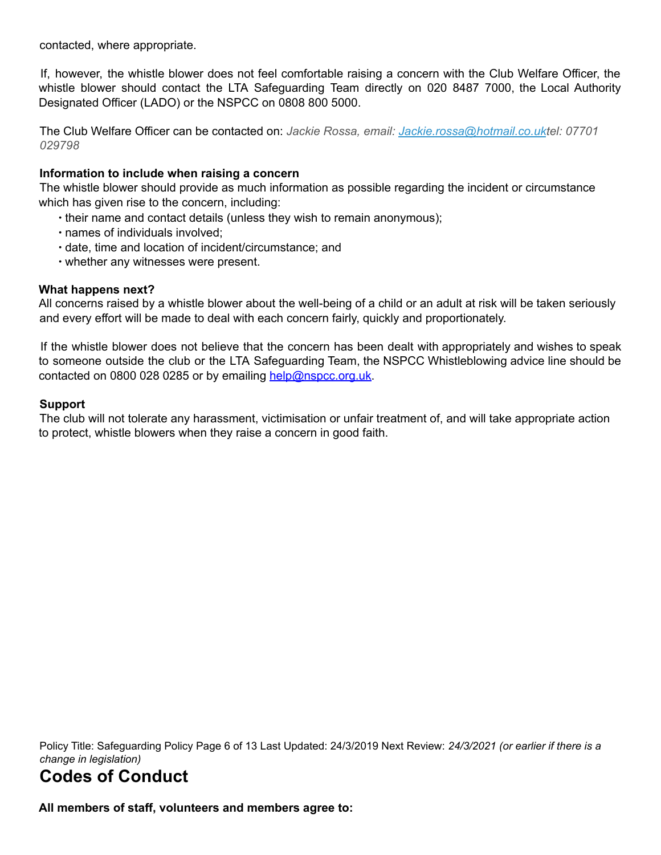contacted, where appropriate.

If, however, the whistle blower does not feel comfortable raising a concern with the Club Welfare Officer, the whistle blower should contact the LTA Safeguarding Team directly on 020 8487 7000, the Local Authority Designated Officer (LADO) or the NSPCC on 0808 800 5000.

The Club Welfare Officer can be contacted on: *Jackie Rossa, email: Jackie.rossa@hotmail.co.uktel: 07701 029798*

#### **Information to include when raising a concern**

The whistle blower should provide as much information as possible regarding the incident or circumstance which has given rise to the concern, including:

- ∙ their name and contact details (unless they wish to remain anonymous);
- ∙ names of individuals involved;
- ∙ date, time and location of incident/circumstance; and
- ∙ whether any witnesses were present.

#### **What happens next?**

All concerns raised by a whistle blower about the well-being of a child or an adult at risk will be taken seriously and every effort will be made to deal with each concern fairly, quickly and proportionately.

If the whistle blower does not believe that the concern has been dealt with appropriately and wishes to speak to someone outside the club or the LTA Safeguarding Team, the NSPCC Whistleblowing advice line should be contacted on 0800 028 0285 or by emailing help@nspcc.org.uk.

#### **Support**

The club will not tolerate any harassment, victimisation or unfair treatment of, and will take appropriate action to protect, whistle blowers when they raise a concern in good faith.

Policy Title: Safeguarding Policy Page 6 of 13 Last Updated: 24/3/2019 Next Review: *24/3/2021 (or earlier if there is a change in legislation)*

# **Codes of Conduct**

**All members of staff, volunteers and members agree to:**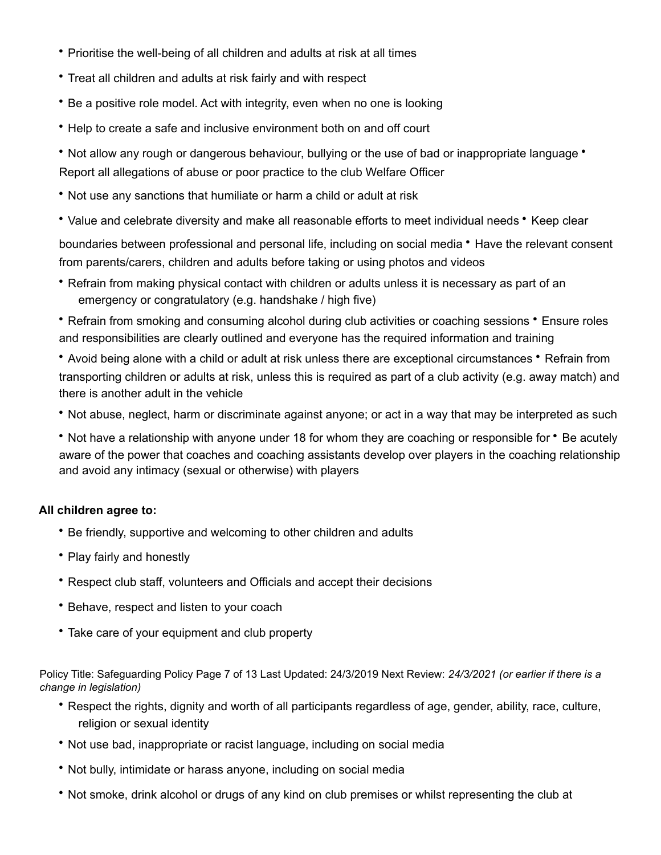- ∙ Prioritise the well-being of all children and adults at risk at all times
- ∙ Treat all children and adults at risk fairly and with respect
- ∙ Be <sup>a</sup> positive role model. Act with integrity, even when no one is looking
- ∙ Help to create <sup>a</sup> safe and inclusive environment both on and off court
- ∙ Not allow any rough or dangerous behaviour, bullying or the use of bad or inappropriate language ∙ Report all allegations of abuse or poor practice to the club Welfare Officer
- ∙ Not use any sanctions that humiliate or harm <sup>a</sup> child or adult at risk
- ∙ Value and celebrate diversity and make all reasonable efforts to meet individual needs ∙ Keep clear

boundaries between professional and personal life, including on social media ∙ Have the relevant consent from parents/carers, children and adults before taking or using photos and videos

∙ Refrain from making physical contact with children or adults unless it is necessary as part of an emergency or congratulatory (e.g. handshake / high five)

∙ Refrain from smoking and consuming alcohol during club activities or coaching sessions ∙ Ensure roles and responsibilities are clearly outlined and everyone has the required information and training

∙ Avoid being alone with <sup>a</sup> child or adult at risk unless there are exceptional circumstances ∙ Refrain from transporting children or adults at risk, unless this is required as part of a club activity (e.g. away match) and there is another adult in the vehicle

∙ Not abuse, neglect, harm or discriminate against anyone; or act in <sup>a</sup> way that may be interpreted as such

∙ Not have <sup>a</sup> relationship with anyone under <sup>18</sup> for whom they are coaching or responsible for ∙ Be acutely aware of the power that coaches and coaching assistants develop over players in the coaching relationship and avoid any intimacy (sexual or otherwise) with players

#### **All children agree to:**

- ∙ Be friendly, supportive and welcoming to other children and adults
- ∙ Play fairly and honestly
- ∙ Respect club staff, volunteers and Officials and accept their decisions
- ∙ Behave, respect and listen to your coach
- ∙ Take care of your equipment and club property

Policy Title: Safeguarding Policy Page 7 of 13 Last Updated: 24/3/2019 Next Review: *24/3/2021 (or earlier if there is a change in legislation)*

- ∙ Respect the rights, dignity and worth of all participants regardless of age, gender, ability, race, culture, religion or sexual identity
- ∙ Not use bad, inappropriate or racist language, including on social media
- ∙ Not bully, intimidate or harass anyone, including on social media
- ∙ Not smoke, drink alcohol or drugs of any kind on club premises or whilst representing the club at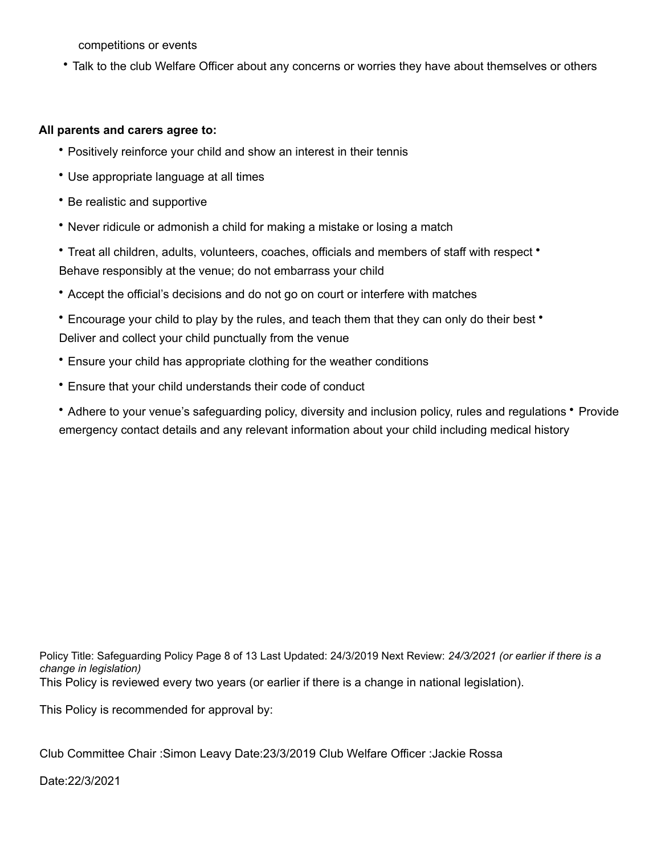competitions or events

∙ Talk to the club Welfare Officer about any concerns or worries they have about themselves or others

#### **All parents and carers agree to:**

- ∙ Positively reinforce your child and show an interest in their tennis
- ∙ Use appropriate language at all times
- ∙ Be realistic and supportive
- ∙ Never ridicule or admonish <sup>a</sup> child for making <sup>a</sup> mistake or losing <sup>a</sup> match
- ∙ Treat all children, adults, volunteers, coaches, officials and members of staff with respect ∙ Behave responsibly at the venue; do not embarrass your child
- ∙ Accept the official's decisions and do not go on court or interfere with matches
- ∙ Encourage your child to play by the rules, and teach them that they can only do their best ∙ Deliver and collect your child punctually from the venue
- ∙ Ensure your child has appropriate clothing for the weather conditions
- ∙ Ensure that your child understands their code of conduct

∙ Adhere to your venue's safeguarding policy, diversity and inclusion policy, rules and regulations ∙ Provide emergency contact details and any relevant information about your child including medical history

Policy Title: Safeguarding Policy Page 8 of 13 Last Updated: 24/3/2019 Next Review: *24/3/2021 (or earlier if there is a change in legislation)* This Policy is reviewed every two years (or earlier if there is a change in national legislation).

This Policy is recommended for approval by:

Club Committee Chair :Simon Leavy Date:23/3/2019 Club Welfare Officer :Jackie Rossa

Date:22/3/2021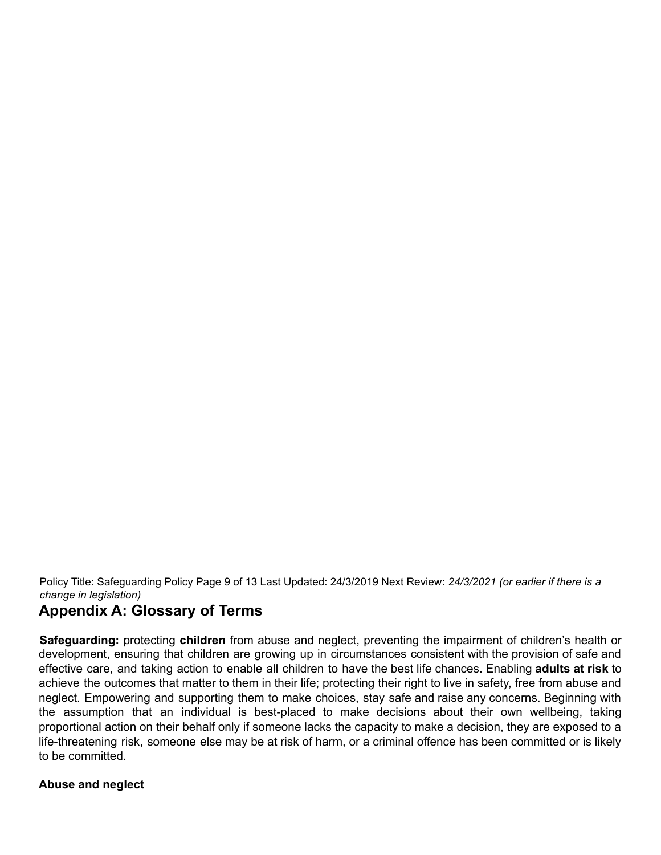Policy Title: Safeguarding Policy Page 9 of 13 Last Updated: 24/3/2019 Next Review: *24/3/2021 (or earlier if there is a change in legislation)*

# **Appendix A: Glossary of Terms**

**Safeguarding:** protecting **children** from abuse and neglect, preventing the impairment of children's health or development, ensuring that children are growing up in circumstances consistent with the provision of safe and effective care, and taking action to enable all children to have the best life chances. Enabling **adults at risk** to achieve the outcomes that matter to them in their life; protecting their right to live in safety, free from abuse and neglect. Empowering and supporting them to make choices, stay safe and raise any concerns. Beginning with the assumption that an individual is best-placed to make decisions about their own wellbeing, taking proportional action on their behalf only if someone lacks the capacity to make a decision, they are exposed to a life-threatening risk, someone else may be at risk of harm, or a criminal offence has been committed or is likely to be committed.

#### **Abuse and neglect**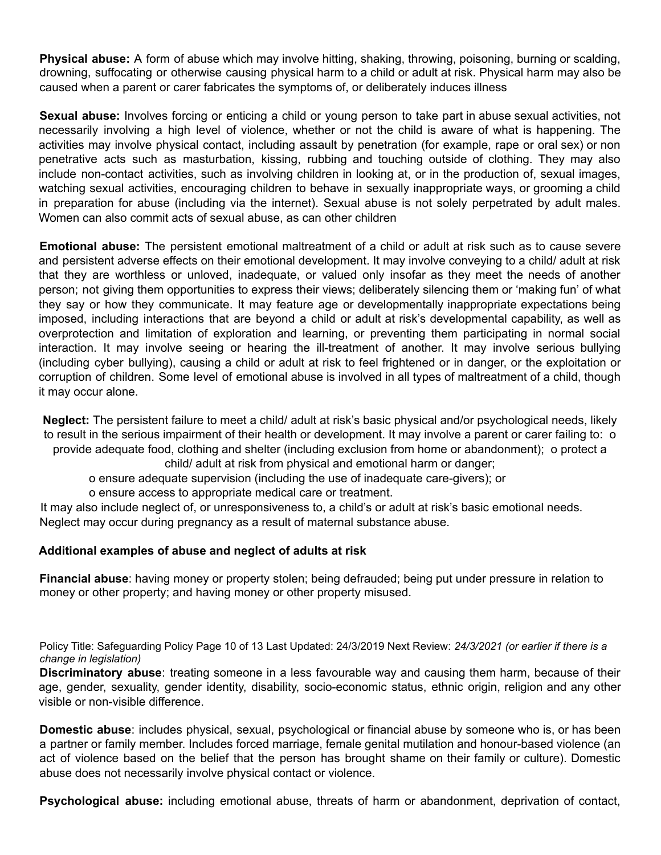**Physical abuse:** A form of abuse which may involve hitting, shaking, throwing, poisoning, burning or scalding, drowning, suffocating or otherwise causing physical harm to a child or adult at risk. Physical harm may also be caused when a parent or carer fabricates the symptoms of, or deliberately induces illness

**Sexual abuse:** Involves forcing or enticing a child or young person to take part in abuse sexual activities, not necessarily involving a high level of violence, whether or not the child is aware of what is happening. The activities may involve physical contact, including assault by penetration (for example, rape or oral sex) or non penetrative acts such as masturbation, kissing, rubbing and touching outside of clothing. They may also include non-contact activities, such as involving children in looking at, or in the production of, sexual images, watching sexual activities, encouraging children to behave in sexually inappropriate ways, or grooming a child in preparation for abuse (including via the internet). Sexual abuse is not solely perpetrated by adult males. Women can also commit acts of sexual abuse, as can other children

**Emotional abuse:** The persistent emotional maltreatment of a child or adult at risk such as to cause severe and persistent adverse effects on their emotional development. It may involve conveying to a child/ adult at risk that they are worthless or unloved, inadequate, or valued only insofar as they meet the needs of another person; not giving them opportunities to express their views; deliberately silencing them or 'making fun' of what they say or how they communicate. It may feature age or developmentally inappropriate expectations being imposed, including interactions that are beyond a child or adult at risk's developmental capability, as well as overprotection and limitation of exploration and learning, or preventing them participating in normal social interaction. It may involve seeing or hearing the ill-treatment of another. It may involve serious bullying (including cyber bullying), causing a child or adult at risk to feel frightened or in danger, or the exploitation or corruption of children. Some level of emotional abuse is involved in all types of maltreatment of a child, though it may occur alone.

**Neglect:** The persistent failure to meet a child/ adult at risk's basic physical and/or psychological needs, likely to result in the serious impairment of their health or development. It may involve a parent or carer failing to: o provide adequate food, clothing and shelter (including exclusion from home or abandonment); o protect a child/ adult at risk from physical and emotional harm or danger;

o ensure adequate supervision (including the use of inadequate care-givers); or

o ensure access to appropriate medical care or treatment.

It may also include neglect of, or unresponsiveness to, a child's or adult at risk's basic emotional needs. Neglect may occur during pregnancy as a result of maternal substance abuse.

#### **Additional examples of abuse and neglect of adults at risk**

**Financial abuse**: having money or property stolen; being defrauded; being put under pressure in relation to money or other property; and having money or other property misused.

Policy Title: Safeguarding Policy Page 10 of 13 Last Updated: 24/3/2019 Next Review: *24/3/2021 (or earlier if there is a change in legislation)*

**Discriminatory abuse**: treating someone in a less favourable way and causing them harm, because of their age, gender, sexuality, gender identity, disability, socio-economic status, ethnic origin, religion and any other visible or non-visible difference.

**Domestic abuse**: includes physical, sexual, psychological or financial abuse by someone who is, or has been a partner or family member. Includes forced marriage, female genital mutilation and honour-based violence (an act of violence based on the belief that the person has brought shame on their family or culture). Domestic abuse does not necessarily involve physical contact or violence.

**Psychological abuse:** including emotional abuse, threats of harm or abandonment, deprivation of contact,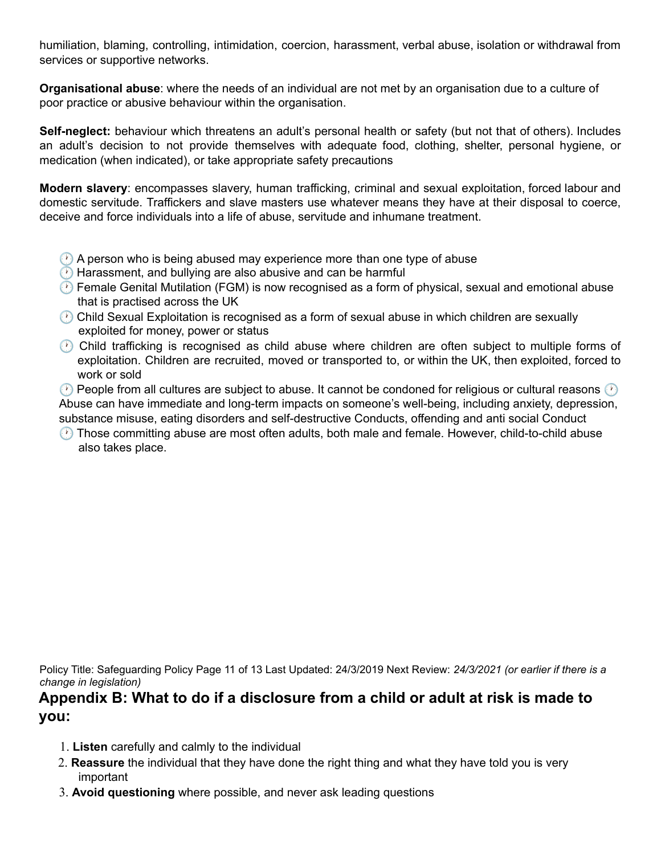humiliation, blaming, controlling, intimidation, coercion, harassment, verbal abuse, isolation or withdrawal from services or supportive networks.

**Organisational abuse**: where the needs of an individual are not met by an organisation due to a culture of poor practice or abusive behaviour within the organisation.

**Self-neglect:** behaviour which threatens an adult's personal health or safety (but not that of others). Includes an adult's decision to not provide themselves with adequate food, clothing, shelter, personal hygiene, or medication (when indicated), or take appropriate safety precautions

**Modern slavery**: encompasses slavery, human trafficking, criminal and sexual exploitation, forced labour and domestic servitude. Traffickers and slave masters use whatever means they have at their disposal to coerce, deceive and force individuals into a life of abuse, servitude and inhumane treatment.

- **A person who is being abused may experience more than one type of abuse**
- **B** Harassment, and bullying are also abusive and can be harmful
- **B** Female Genital Mutilation (FGM) is now recognised as a form of physical, sexual and emotional abuse that is practised across the UK
- Child Sexual Exploitation is recognised as a form of sexual abuse in which children are sexually exploited for money, power or status
- Child trafficking is recognised as child abuse where children are often subject to multiple forms of exploitation. Children are recruited, moved or transported to, or within the UK, then exploited, forced to work or sold

 $\circledcirc$  People from all cultures are subject to abuse. It cannot be condoned for religious or cultural reasons  $\circledcirc$ Abuse can have immediate and long-term impacts on someone's well-being, including anxiety, depression, substance misuse, eating disorders and self-destructive Conducts, offending and anti social Conduct

**(2)** Those committing abuse are most often adults, both male and female. However, child-to-child abuse also takes place.

Policy Title: Safeguarding Policy Page 11 of 13 Last Updated: 24/3/2019 Next Review: *24/3/2021 (or earlier if there is a change in legislation)*

## **Appendix B: What to do if a disclosure from a child or adult at risk is made to you:**

- 1. **Listen** carefully and calmly to the individual
- 2. **Reassure** the individual that they have done the right thing and what they have told you is very important
- 3. **Avoid questioning** where possible, and never ask leading questions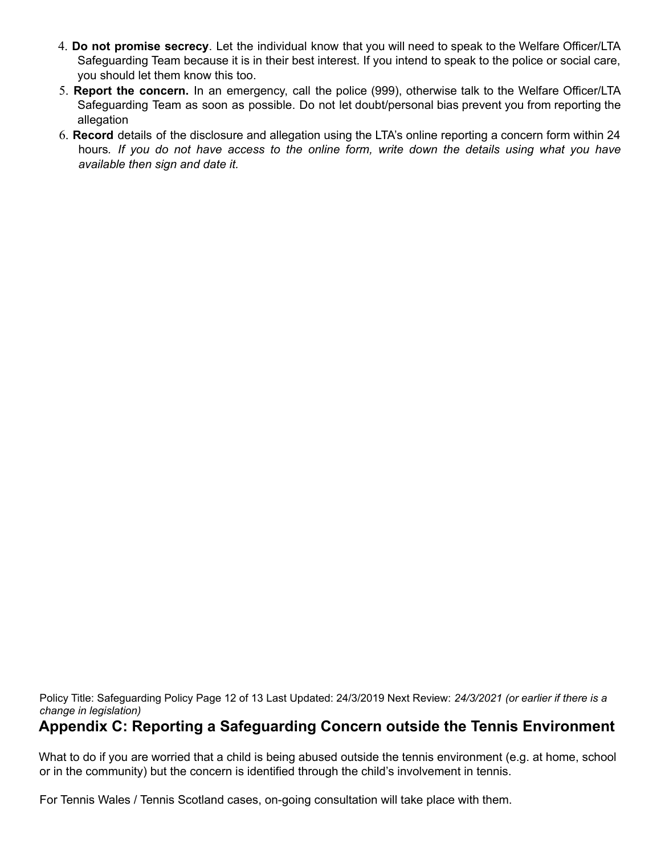- 4. **Do not promise secrecy**. Let the individual know that you will need to speak to the Welfare Officer/LTA Safeguarding Team because it is in their best interest. If you intend to speak to the police or social care, you should let them know this too.
- 5. **Report the concern.** In an emergency, call the police (999), otherwise talk to the Welfare Officer/LTA Safeguarding Team as soon as possible. Do not let doubt/personal bias prevent you from reporting the allegation
- 6. **Record** details of the disclosure and allegation using the LTA's online reporting a concern form within 24 hours. If you do not have access to the online form, write down the details using what you have *available then sign and date it.*

Policy Title: Safeguarding Policy Page 12 of 13 Last Updated: 24/3/2019 Next Review: *24/3/2021 (or earlier if there is a change in legislation)*

# **Appendix C: Reporting a Safeguarding Concern outside the Tennis Environment**

What to do if you are worried that a child is being abused outside the tennis environment (e.g. at home, school or in the community) but the concern is identified through the child's involvement in tennis.

For Tennis Wales / Tennis Scotland cases, on-going consultation will take place with them.